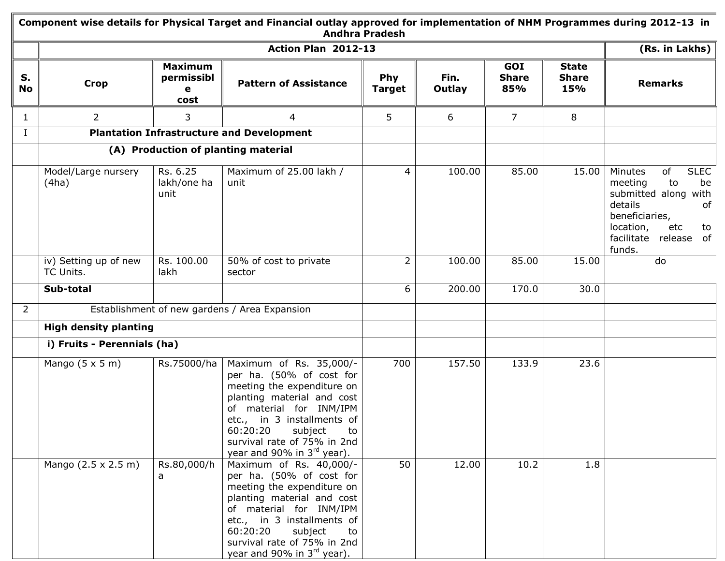|                 | Component wise details for Physical Target and Financial outlay approved for implementation of NHM Programmes during 2012-13 in<br><b>Andhra Pradesh</b> |                                           |                                                                                                                                                                                                                                                                                |                             |                |                            |                                     |                                                                                                                                                                             |  |
|-----------------|----------------------------------------------------------------------------------------------------------------------------------------------------------|-------------------------------------------|--------------------------------------------------------------------------------------------------------------------------------------------------------------------------------------------------------------------------------------------------------------------------------|-----------------------------|----------------|----------------------------|-------------------------------------|-----------------------------------------------------------------------------------------------------------------------------------------------------------------------------|--|
|                 |                                                                                                                                                          |                                           | Action Plan 2012-13                                                                                                                                                                                                                                                            |                             |                |                            |                                     | (Rs. in Lakhs) $\parallel$                                                                                                                                                  |  |
| S.<br><b>No</b> | <b>Crop</b>                                                                                                                                              | <b>Maximum</b><br>permissibl<br>e<br>cost | <b>Pattern of Assistance</b>                                                                                                                                                                                                                                                   | <b>Phy</b><br><b>Target</b> | Fin.<br>Outlay | GOI<br><b>Share</b><br>85% | <b>State</b><br><b>Share</b><br>15% | <b>Remarks</b>                                                                                                                                                              |  |
| $\mathbf{1}$    | $\overline{2}$                                                                                                                                           | 3                                         | 4                                                                                                                                                                                                                                                                              | 5                           | 6              | $\overline{7}$             | 8                                   |                                                                                                                                                                             |  |
| I               |                                                                                                                                                          |                                           | <b>Plantation Infrastructure and Development</b>                                                                                                                                                                                                                               |                             |                |                            |                                     |                                                                                                                                                                             |  |
|                 |                                                                                                                                                          |                                           | (A) Production of planting material                                                                                                                                                                                                                                            |                             |                |                            |                                     |                                                                                                                                                                             |  |
|                 | Model/Large nursery<br>(4ha)                                                                                                                             | Rs. 6.25<br>lakh/one ha<br>unit           | Maximum of 25.00 lakh /<br>unit                                                                                                                                                                                                                                                | 4                           | 100.00         | 85.00                      | 15.00                               | <b>SLEC</b><br>Minutes<br>of<br>meeting<br>to<br>be<br>submitted along with<br>details<br>of<br>beneficiaries,<br>location,<br>etc<br>to<br>facilitate release of<br>funds. |  |
|                 | iv) Setting up of new<br>TC Units.                                                                                                                       | Rs. 100.00<br>lakh                        | 50% of cost to private<br>sector                                                                                                                                                                                                                                               | 2                           | 100.00         | 85.00                      | 15.00                               | do                                                                                                                                                                          |  |
|                 | Sub-total                                                                                                                                                |                                           |                                                                                                                                                                                                                                                                                | 6                           | 200.00         | 170.0                      | 30.0                                |                                                                                                                                                                             |  |
| $\overline{2}$  |                                                                                                                                                          |                                           | Establishment of new gardens / Area Expansion                                                                                                                                                                                                                                  |                             |                |                            |                                     |                                                                                                                                                                             |  |
|                 | <b>High density planting</b>                                                                                                                             |                                           |                                                                                                                                                                                                                                                                                |                             |                |                            |                                     |                                                                                                                                                                             |  |
|                 | i) Fruits - Perennials (ha)                                                                                                                              |                                           |                                                                                                                                                                                                                                                                                |                             |                |                            |                                     |                                                                                                                                                                             |  |
|                 | Mango $(5 \times 5 \text{ m})$                                                                                                                           | Rs.75000/ha                               | Maximum of Rs. 35,000/-<br>per ha. (50% of cost for<br>meeting the expenditure on<br>planting material and cost<br>of material for INM/IPM<br>etc., in 3 installments of<br>60:20:20<br>subject<br>to<br>survival rate of 75% in 2nd<br>year and 90% in 3 <sup>rd</sup> year). | 700                         | 157.50         | 133.9                      | 23.6                                |                                                                                                                                                                             |  |
|                 | Mango (2.5 x 2.5 m)                                                                                                                                      | Rs.80,000/h<br>a                          | Maximum of Rs. 40,000/-<br>per ha. (50% of cost for<br>meeting the expenditure on<br>planting material and cost<br>of material for INM/IPM<br>etc., in 3 installments of<br>60:20:20<br>subject<br>to<br>survival rate of 75% in 2nd<br>year and 90% in 3rd year).             | 50                          | 12.00          | 10.2                       | 1.8                                 |                                                                                                                                                                             |  |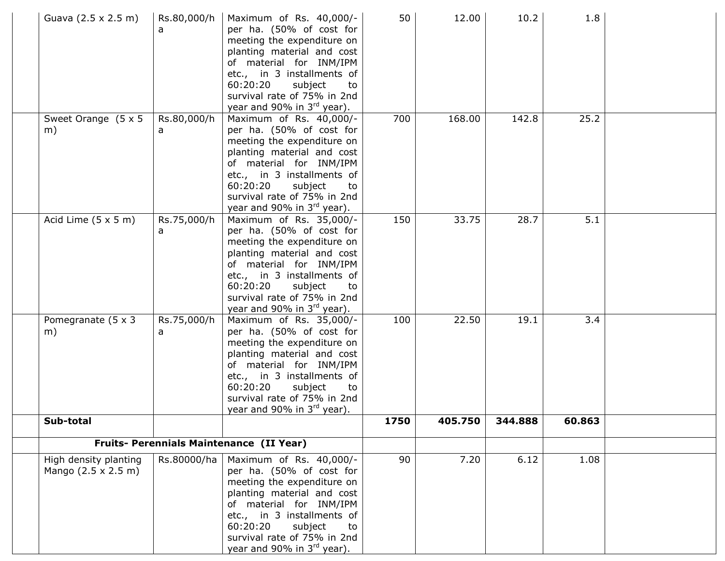| Guava (2.5 x 2.5 m)                                         | Rs.80,000/h<br>a | Maximum of Rs. 40,000/-<br>per ha. (50% of cost for<br>meeting the expenditure on<br>planting material and cost<br>of material for INM/IPM<br>etc., in 3 installments of<br>60:20:20<br>subject<br>to<br>survival rate of 75% in 2nd<br>year and 90% in 3rd year).             | 50   | 12.00   | 10.2    | 1.8    |  |
|-------------------------------------------------------------|------------------|--------------------------------------------------------------------------------------------------------------------------------------------------------------------------------------------------------------------------------------------------------------------------------|------|---------|---------|--------|--|
| Sweet Orange $(5 \times 5)$<br>m)                           | Rs.80,000/h<br>a | Maximum of Rs. 40,000/-<br>per ha. (50% of cost for<br>meeting the expenditure on<br>planting material and cost<br>of material for INM/IPM<br>etc., in 3 installments of<br>60:20:20<br>subject<br>to<br>survival rate of 75% in 2nd<br>year and 90% in 3rd year).             | 700  | 168.00  | 142.8   | 25.2   |  |
| Acid Lime $(5 \times 5 \text{ m})$                          | Rs.75,000/h<br>a | Maximum of Rs. 35,000/-<br>per ha. (50% of cost for<br>meeting the expenditure on<br>planting material and cost<br>of material for INM/IPM<br>etc., in 3 installments of<br>60:20:20<br>subject<br>to<br>survival rate of 75% in 2nd<br>year and 90% in 3rd year).             | 150  | 33.75   | 28.7    | 5.1    |  |
| Pomegranate $(5 \times 3)$<br>m)                            | Rs.75,000/h<br>a | Maximum of Rs. 35,000/-<br>per ha. (50% of cost for<br>meeting the expenditure on<br>planting material and cost<br>of material for INM/IPM<br>etc., in 3 installments of<br>60:20:20<br>subject<br>to<br>survival rate of 75% in 2nd<br>year and 90% in 3 <sup>rd</sup> year). | 100  | 22.50   | 19.1    | 3.4    |  |
| Sub-total                                                   |                  |                                                                                                                                                                                                                                                                                | 1750 | 405.750 | 344.888 | 60.863 |  |
|                                                             |                  | Fruits- Perennials Maintenance (II Year)                                                                                                                                                                                                                                       |      |         |         |        |  |
| High density planting<br>Mango $(2.5 \times 2.5 \text{ m})$ | Rs.80000/ha      | Maximum of Rs. 40,000/-<br>per ha. (50% of cost for<br>meeting the expenditure on<br>planting material and cost<br>of material for INM/IPM<br>etc., in 3 installments of<br>60:20:20<br>subject<br>to<br>survival rate of 75% in 2nd<br>year and 90% in $3^{rd}$ year).        | 90   | 7.20    | 6.12    | 1.08   |  |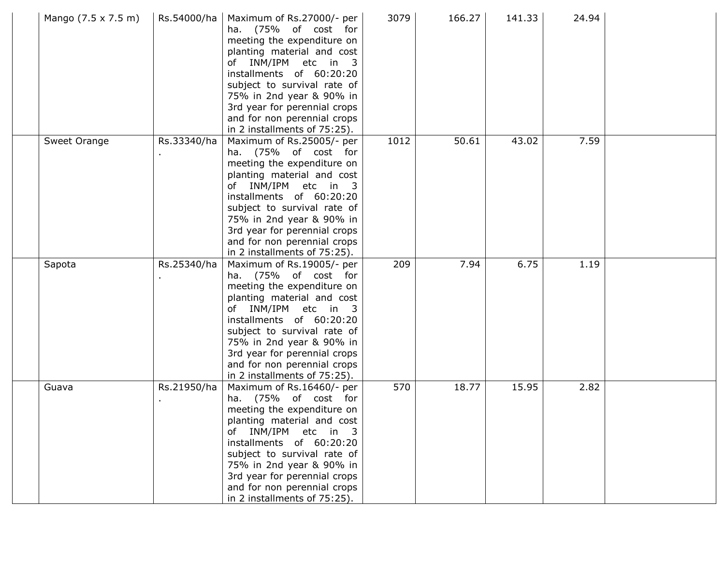| Mango (7.5 x 7.5 m) | Rs.54000/ha | Maximum of Rs.27000/- per<br>ha. (75% of cost for<br>meeting the expenditure on<br>planting material and cost<br>of INM/IPM etc in 3<br>installments of 60:20:20<br>subject to survival rate of<br>75% in 2nd year & 90% in<br>3rd year for perennial crops<br>and for non perennial crops<br>in 2 installments of 75:25). | 3079 | 166.27 | 141.33 | 24.94 |  |
|---------------------|-------------|----------------------------------------------------------------------------------------------------------------------------------------------------------------------------------------------------------------------------------------------------------------------------------------------------------------------------|------|--------|--------|-------|--|
| Sweet Orange        | Rs.33340/ha | Maximum of Rs.25005/- per<br>ha. (75% of cost for<br>meeting the expenditure on<br>planting material and cost<br>of INM/IPM etc in 3<br>installments of 60:20:20<br>subject to survival rate of<br>75% in 2nd year & 90% in<br>3rd year for perennial crops<br>and for non perennial crops<br>in 2 installments of 75:25). | 1012 | 50.61  | 43.02  | 7.59  |  |
| Sapota              | Rs.25340/ha | Maximum of Rs.19005/- per<br>ha. (75% of cost for<br>meeting the expenditure on<br>planting material and cost<br>of INM/IPM etc in 3<br>installments of 60:20:20<br>subject to survival rate of<br>75% in 2nd year & 90% in<br>3rd year for perennial crops<br>and for non perennial crops<br>in 2 installments of 75:25). | 209  | 7.94   | 6.75   | 1.19  |  |
| Guava               | Rs.21950/ha | Maximum of Rs.16460/- per<br>ha. (75% of cost for<br>meeting the expenditure on<br>planting material and cost<br>of INM/IPM etc in 3<br>installments of 60:20:20<br>subject to survival rate of<br>75% in 2nd year & 90% in<br>3rd year for perennial crops<br>and for non perennial crops<br>in 2 installments of 75:25). | 570  | 18.77  | 15.95  | 2.82  |  |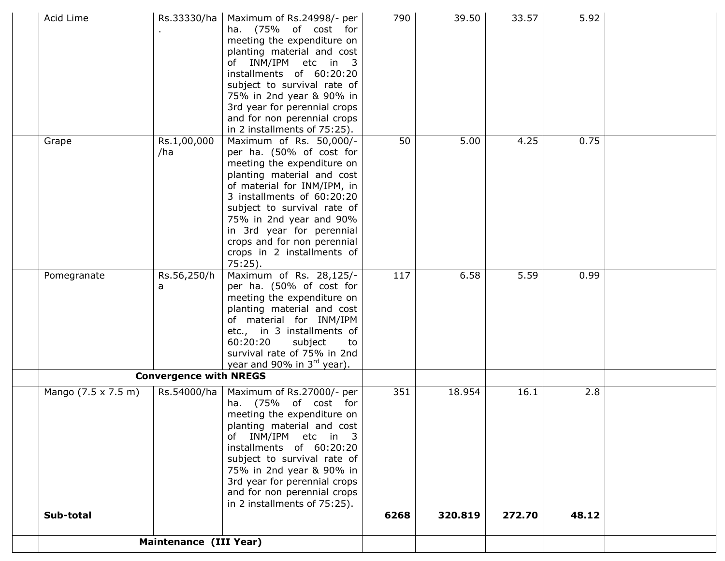| Acid Lime           | Rs.33330/ha                   | Maximum of Rs.24998/- per<br>ha. (75% of cost for<br>meeting the expenditure on<br>planting material and cost<br>of INM/IPM etc in 3<br>installments of 60:20:20<br>subject to survival rate of<br>75% in 2nd year & 90% in<br>3rd year for perennial crops<br>and for non perennial crops<br>in 2 installments of 75:25).                     | 790  | 39.50   | 33.57  | 5.92  |  |
|---------------------|-------------------------------|------------------------------------------------------------------------------------------------------------------------------------------------------------------------------------------------------------------------------------------------------------------------------------------------------------------------------------------------|------|---------|--------|-------|--|
| Grape               | Rs.1,00,000<br>/ha            | Maximum of Rs. 50,000/-<br>per ha. (50% of cost for<br>meeting the expenditure on<br>planting material and cost<br>of material for INM/IPM, in<br>3 installments of 60:20:20<br>subject to survival rate of<br>75% in 2nd year and 90%<br>in 3rd year for perennial<br>crops and for non perennial<br>crops in 2 installments of<br>$75:25$ ). | 50   | 5.00    | 4.25   | 0.75  |  |
| Pomegranate         | Rs.56,250/h<br>a              | Maximum of Rs. 28,125/-<br>per ha. (50% of cost for<br>meeting the expenditure on<br>planting material and cost<br>of material for INM/IPM<br>etc., in 3 installments of<br>60:20:20<br>subject<br>to<br>survival rate of 75% in 2nd<br>year and 90% in 3rd year).                                                                             | 117  | 6.58    | 5.59   | 0.99  |  |
|                     | <b>Convergence with NREGS</b> |                                                                                                                                                                                                                                                                                                                                                |      |         |        |       |  |
| Mango (7.5 x 7.5 m) | Rs.54000/ha                   | Maximum of Rs.27000/- per<br>ha. (75% of cost for<br>meeting the expenditure on<br>planting material and cost<br>of INM/IPM etc in 3<br>installments of 60:20:20<br>subject to survival rate of<br>75% in 2nd year & 90% in<br>3rd year for perennial crops<br>and for non perennial crops<br>in 2 installments of 75:25).                     | 351  | 18.954  | 16.1   | 2.8   |  |
| Sub-total           |                               |                                                                                                                                                                                                                                                                                                                                                | 6268 | 320.819 | 272.70 | 48.12 |  |
|                     | Maintenance (III Year)        |                                                                                                                                                                                                                                                                                                                                                |      |         |        |       |  |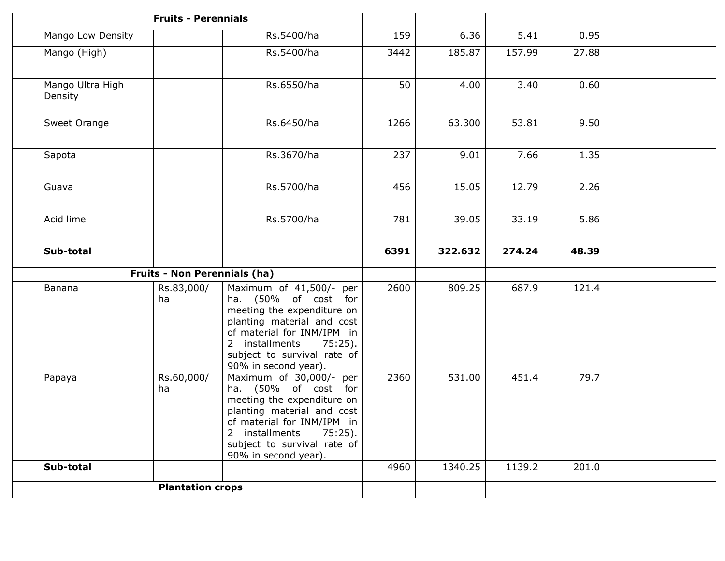|                             | <b>Fruits - Perennials</b>          |                                                                                                                                                                                                                                  |      |         |        |       |  |
|-----------------------------|-------------------------------------|----------------------------------------------------------------------------------------------------------------------------------------------------------------------------------------------------------------------------------|------|---------|--------|-------|--|
| Mango Low Density           |                                     | Rs.5400/ha                                                                                                                                                                                                                       | 159  | 6.36    | 5.41   | 0.95  |  |
| Mango (High)                |                                     | Rs.5400/ha                                                                                                                                                                                                                       | 3442 | 185.87  | 157.99 | 27.88 |  |
| Mango Ultra High<br>Density |                                     | Rs.6550/ha                                                                                                                                                                                                                       | 50   | 4.00    | 3.40   | 0.60  |  |
| Sweet Orange                |                                     | Rs.6450/ha                                                                                                                                                                                                                       | 1266 | 63.300  | 53.81  | 9.50  |  |
| Sapota                      |                                     | Rs.3670/ha                                                                                                                                                                                                                       | 237  | 9.01    | 7.66   | 1.35  |  |
| Guava                       |                                     | Rs.5700/ha                                                                                                                                                                                                                       | 456  | 15.05   | 12.79  | 2.26  |  |
| Acid lime                   |                                     | Rs.5700/ha                                                                                                                                                                                                                       | 781  | 39.05   | 33.19  | 5.86  |  |
| Sub-total                   |                                     |                                                                                                                                                                                                                                  | 6391 | 322.632 | 274.24 | 48.39 |  |
|                             | <b>Fruits - Non Perennials (ha)</b> |                                                                                                                                                                                                                                  |      |         |        |       |  |
| Banana                      | Rs.83,000/<br>ha                    | Maximum of 41,500/- per<br>ha. (50% of cost for<br>meeting the expenditure on<br>planting material and cost<br>of material for INM/IPM in<br>2 installments<br>75:25).<br>subject to survival rate of<br>90% in second year).    | 2600 | 809.25  | 687.9  | 121.4 |  |
| Papaya                      | Rs.60,000/<br>ha                    | Maximum of 30,000/- per<br>ha. (50% of cost for<br>meeting the expenditure on<br>planting material and cost<br>of material for INM/IPM in<br>2 installments<br>$75:25$ ).<br>subject to survival rate of<br>90% in second year). | 2360 | 531.00  | 451.4  | 79.7  |  |
| Sub-total                   |                                     |                                                                                                                                                                                                                                  | 4960 | 1340.25 | 1139.2 | 201.0 |  |
|                             | <b>Plantation crops</b>             |                                                                                                                                                                                                                                  |      |         |        |       |  |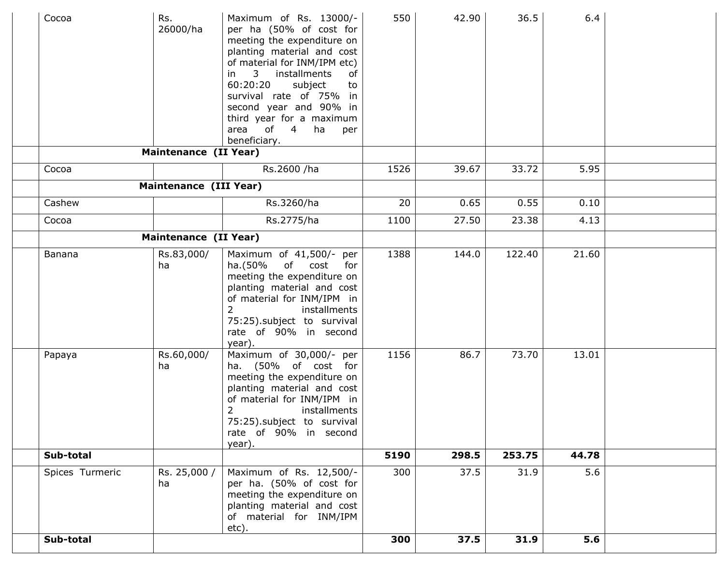| Cocoa           | Rs.<br>26000/ha<br>Maintenance (II Year) | Maximum of Rs. 13000/-<br>per ha (50% of cost for<br>meeting the expenditure on<br>planting material and cost<br>of material for INM/IPM etc)<br>3 installments<br>of<br>in<br>60:20:20<br>subject<br>to<br>survival rate of 75% in<br>second year and 90% in<br>third year for a maximum<br>of 4 ha<br>area<br>per<br>beneficiary. | 550  | 42.90 | 36.5   | 6.4   |  |
|-----------------|------------------------------------------|-------------------------------------------------------------------------------------------------------------------------------------------------------------------------------------------------------------------------------------------------------------------------------------------------------------------------------------|------|-------|--------|-------|--|
| Cocoa           |                                          | Rs.2600 /ha                                                                                                                                                                                                                                                                                                                         | 1526 | 39.67 | 33.72  | 5.95  |  |
|                 |                                          |                                                                                                                                                                                                                                                                                                                                     |      |       |        |       |  |
|                 | Maintenance (III Year)                   |                                                                                                                                                                                                                                                                                                                                     |      |       |        |       |  |
| Cashew          |                                          | Rs.3260/ha                                                                                                                                                                                                                                                                                                                          | 20   | 0.65  | 0.55   | 0.10  |  |
| Cocoa           |                                          | Rs.2775/ha                                                                                                                                                                                                                                                                                                                          | 1100 | 27.50 | 23.38  | 4.13  |  |
|                 | <b>Maintenance (II Year)</b>             |                                                                                                                                                                                                                                                                                                                                     |      |       |        |       |  |
| Banana          | Rs.83,000/<br>ha                         | Maximum of 41,500/- per<br>ha.(50%<br>of cost<br>for<br>meeting the expenditure on<br>planting material and cost<br>of material for INM/IPM in<br>2<br>installments<br>75:25).subject to survival<br>rate of 90% in second<br>year).                                                                                                | 1388 | 144.0 | 122.40 | 21.60 |  |
| Papaya          | Rs.60,000/<br>ha                         | Maximum of 30,000/- per<br>ha. (50% of cost for<br>meeting the expenditure on<br>planting material and cost<br>of material for INM/IPM in<br>2<br>installments<br>75:25).subject to survival<br>rate of 90% in second<br>year).                                                                                                     | 1156 | 86.7  | 73.70  | 13.01 |  |
| Sub-total       |                                          |                                                                                                                                                                                                                                                                                                                                     | 5190 | 298.5 | 253.75 | 44.78 |  |
| Spices Turmeric | Rs. 25,000 /<br>ha                       | Maximum of Rs. 12,500/-<br>per ha. (50% of cost for<br>meeting the expenditure on<br>planting material and cost<br>of material for INM/IPM<br>etc).                                                                                                                                                                                 | 300  | 37.5  | 31.9   | 5.6   |  |
| Sub-total       |                                          |                                                                                                                                                                                                                                                                                                                                     | 300  | 37.5  | 31.9   | 5.6   |  |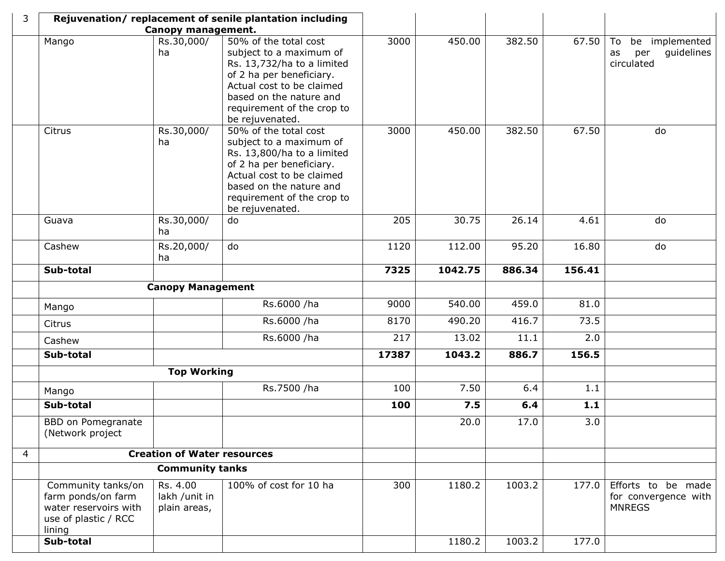| 3              |                                                                                                     |                                           | Rejuvenation/replacement of senile plantation including                                                                                                                                                             |       |         |        |        |                                                               |
|----------------|-----------------------------------------------------------------------------------------------------|-------------------------------------------|---------------------------------------------------------------------------------------------------------------------------------------------------------------------------------------------------------------------|-------|---------|--------|--------|---------------------------------------------------------------|
|                |                                                                                                     | Canopy management.                        |                                                                                                                                                                                                                     |       |         |        |        |                                                               |
|                | Mango                                                                                               | Rs.30,000/<br>ha                          | 50% of the total cost<br>subject to a maximum of<br>Rs. 13,732/ha to a limited<br>of 2 ha per beneficiary.<br>Actual cost to be claimed<br>based on the nature and<br>requirement of the crop to<br>be rejuvenated. | 3000  | 450.00  | 382.50 | 67.50  | To<br>be implemented<br>guidelines<br>per<br>as<br>circulated |
|                | Citrus                                                                                              | Rs.30,000/<br>ha                          | 50% of the total cost<br>subject to a maximum of<br>Rs. 13,800/ha to a limited<br>of 2 ha per beneficiary.<br>Actual cost to be claimed<br>based on the nature and<br>requirement of the crop to<br>be rejuvenated. | 3000  | 450.00  | 382.50 | 67.50  | do                                                            |
|                | Guava                                                                                               | Rs.30,000/<br>ha                          | do                                                                                                                                                                                                                  | 205   | 30.75   | 26.14  | 4.61   | do                                                            |
|                | Cashew                                                                                              | Rs.20,000/<br>ha                          | do                                                                                                                                                                                                                  | 1120  | 112.00  | 95.20  | 16.80  | do                                                            |
|                | Sub-total                                                                                           |                                           |                                                                                                                                                                                                                     | 7325  | 1042.75 | 886.34 | 156.41 |                                                               |
|                |                                                                                                     | <b>Canopy Management</b>                  |                                                                                                                                                                                                                     |       |         |        |        |                                                               |
|                | Mango                                                                                               |                                           | Rs.6000 /ha                                                                                                                                                                                                         | 9000  | 540.00  | 459.0  | 81.0   |                                                               |
|                | Citrus                                                                                              |                                           | Rs.6000 /ha                                                                                                                                                                                                         | 8170  | 490.20  | 416.7  | 73.5   |                                                               |
|                | Cashew                                                                                              |                                           | Rs.6000 /ha                                                                                                                                                                                                         | 217   | 13.02   | 11.1   | 2.0    |                                                               |
|                | Sub-total                                                                                           |                                           |                                                                                                                                                                                                                     | 17387 | 1043.2  | 886.7  | 156.5  |                                                               |
|                |                                                                                                     | <b>Top Working</b>                        |                                                                                                                                                                                                                     |       |         |        |        |                                                               |
|                | Mango                                                                                               |                                           | Rs.7500 /ha                                                                                                                                                                                                         | 100   | 7.50    | 6.4    | 1.1    |                                                               |
|                | Sub-total                                                                                           |                                           |                                                                                                                                                                                                                     | 100   | 7.5     | 6.4    | $1.1$  |                                                               |
|                | <b>BBD</b> on Pomegranate<br>(Network project                                                       |                                           |                                                                                                                                                                                                                     |       | 20.0    | 17.0   | 3.0    |                                                               |
| $\overline{4}$ |                                                                                                     | <b>Creation of Water resources</b>        |                                                                                                                                                                                                                     |       |         |        |        |                                                               |
|                | <b>Community tanks</b>                                                                              |                                           |                                                                                                                                                                                                                     |       |         |        |        |                                                               |
|                | Community tanks/on<br>farm ponds/on farm<br>water reservoirs with<br>use of plastic / RCC<br>lining | Rs. 4.00<br>lakh /unit in<br>plain areas, | 100% of cost for 10 ha                                                                                                                                                                                              | 300   | 1180.2  | 1003.2 | 177.0  | Efforts to be made<br>for convergence with<br><b>MNREGS</b>   |
|                | Sub-total                                                                                           |                                           |                                                                                                                                                                                                                     |       | 1180.2  | 1003.2 | 177.0  |                                                               |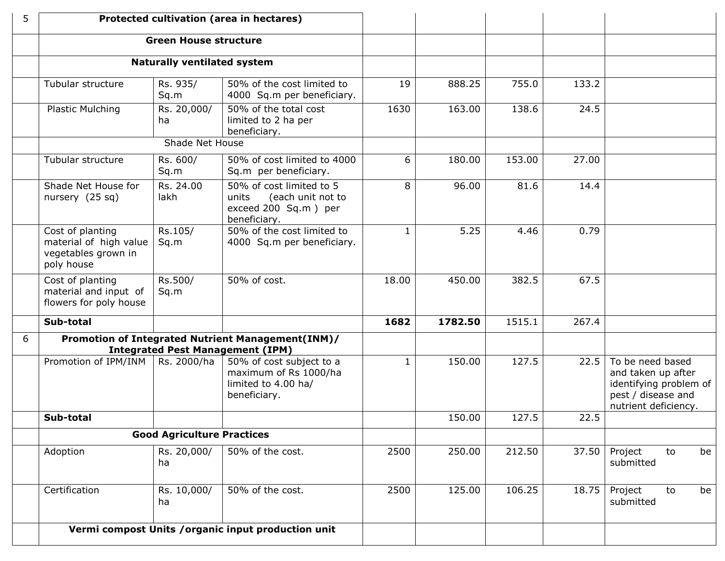| 5 | Protected cultivation (area in hectares)                                        |                                    |                                                                                                |              |         |        |       |                                                                                                                |
|---|---------------------------------------------------------------------------------|------------------------------------|------------------------------------------------------------------------------------------------|--------------|---------|--------|-------|----------------------------------------------------------------------------------------------------------------|
|   |                                                                                 | <b>Green House structure</b>       |                                                                                                |              |         |        |       |                                                                                                                |
|   |                                                                                 | <b>Naturally ventilated system</b> |                                                                                                |              |         |        |       |                                                                                                                |
|   | Tubular structure                                                               | Rs. 935/<br>Sq.m                   | 50% of the cost limited to<br>4000 Sq.m per beneficiary.                                       | 19           | 888.25  | 755.0  | 133.2 |                                                                                                                |
|   | Plastic Mulching                                                                | Rs. 20,000/<br>ha                  | 50% of the total cost<br>limited to 2 ha per<br>beneficiary.                                   | 1630         | 163.00  | 138.6  | 24.5  |                                                                                                                |
|   |                                                                                 | Shade Net House                    |                                                                                                |              |         |        |       |                                                                                                                |
|   | Tubular structure                                                               | Rs. 600/<br>Sq.m                   | 50% of cost limited to 4000<br>Sq.m per beneficiary.                                           | 6            | 180.00  | 153.00 | 27.00 |                                                                                                                |
|   | Shade Net House for<br>nursery $(25 sq)$                                        | Rs. 24.00<br>lakh                  | 50% of cost limited to 5<br>(each unit not to<br>units<br>exceed 200 Sq.m) per<br>beneficiary. | 8            | 96.00   | 81.6   | 14.4  |                                                                                                                |
|   | Cost of planting<br>material of high value<br>vegetables grown in<br>poly house | Rs.105/<br>Sq.m                    | 50% of the cost limited to<br>4000 Sq.m per beneficiary.                                       | $\mathbf{1}$ | 5.25    | 4.46   | 0.79  |                                                                                                                |
|   | Cost of planting<br>material and input of<br>flowers for poly house             | Rs.500/<br>Sq.m                    | 50% of cost.                                                                                   | 18.00        | 450.00  | 382.5  | 67.5  |                                                                                                                |
|   | Sub-total                                                                       |                                    |                                                                                                | 1682         | 1782.50 | 1515.1 | 267.4 |                                                                                                                |
| 6 |                                                                                 |                                    | Promotion of Integrated Nutrient Management(INM)/<br><b>Integrated Pest Management (IPM)</b>   |              |         |        |       |                                                                                                                |
|   | Promotion of IPM/INM                                                            | Rs. 2000/ha                        | 50% of cost subject to a<br>maximum of Rs 1000/ha<br>limited to 4.00 ha/<br>beneficiary.       | $\mathbf{1}$ | 150.00  | 127.5  | 22.5  | To be need based<br>and taken up after<br>identifying problem of<br>pest / disease and<br>nutrient deficiency. |
|   | Sub-total                                                                       |                                    |                                                                                                |              | 150.00  | 127.5  | 22.5  |                                                                                                                |
|   |                                                                                 | <b>Good Agriculture Practices</b>  |                                                                                                |              |         |        |       |                                                                                                                |
|   | Adoption                                                                        | Rs. 20,000/<br>ha                  | 50% of the cost.                                                                               | 2500         | 250.00  | 212.50 | 37.50 | Project<br>to<br>be<br>submitted                                                                               |
|   | Certification                                                                   | Rs. 10,000/<br>ha                  | 50% of the cost.                                                                               | 2500         | 125.00  | 106.25 | 18.75 | Project<br>to<br>be<br>submitted                                                                               |
|   | Vermi compost Units / organic input production unit                             |                                    |                                                                                                |              |         |        |       |                                                                                                                |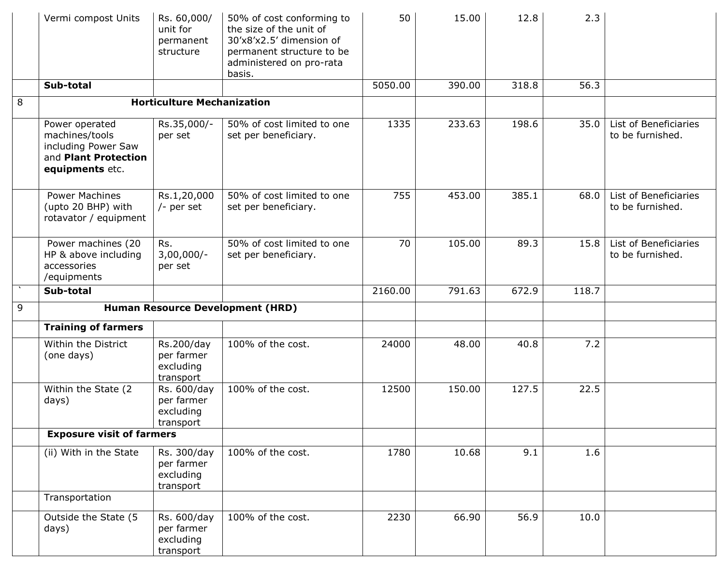|               | Vermi compost Units                                                                                | Rs. 60,000/<br>unit for<br>permanent<br>structure   | 50% of cost conforming to<br>the size of the unit of<br>30'x8'x2.5' dimension of<br>permanent structure to be<br>administered on pro-rata<br>basis. | 50      | 15.00  | 12.8  | 2.3   |                                           |
|---------------|----------------------------------------------------------------------------------------------------|-----------------------------------------------------|-----------------------------------------------------------------------------------------------------------------------------------------------------|---------|--------|-------|-------|-------------------------------------------|
|               | Sub-total                                                                                          |                                                     |                                                                                                                                                     | 5050.00 | 390.00 | 318.8 | 56.3  |                                           |
| 8             |                                                                                                    | <b>Horticulture Mechanization</b>                   |                                                                                                                                                     |         |        |       |       |                                           |
|               | Power operated<br>machines/tools<br>including Power Saw<br>and Plant Protection<br>equipments etc. | Rs.35,000/-<br>per set                              | 50% of cost limited to one<br>set per beneficiary.                                                                                                  | 1335    | 233.63 | 198.6 | 35.0  | List of Beneficiaries<br>to be furnished. |
|               | <b>Power Machines</b><br>(upto 20 BHP) with<br>rotavator / equipment                               | Rs.1,20,000<br>$/-$ per set                         | 50% of cost limited to one<br>set per beneficiary.                                                                                                  | 755     | 453.00 | 385.1 | 68.0  | List of Beneficiaries<br>to be furnished. |
|               | Power machines (20<br>HP & above including<br>accessories<br>/equipments                           | Rs.<br>$3,00,000/-$<br>per set                      | 50% of cost limited to one<br>set per beneficiary.                                                                                                  | 70      | 105.00 | 89.3  | 15.8  | List of Beneficiaries<br>to be furnished. |
| $\mathcal{N}$ | Sub-total                                                                                          |                                                     |                                                                                                                                                     | 2160.00 | 791.63 | 672.9 | 118.7 |                                           |
| 9             |                                                                                                    |                                                     | <b>Human Resource Development (HRD)</b>                                                                                                             |         |        |       |       |                                           |
|               | <b>Training of farmers</b>                                                                         |                                                     |                                                                                                                                                     |         |        |       |       |                                           |
|               | Within the District<br>(one days)                                                                  | Rs.200/day<br>per farmer<br>excluding<br>transport  | 100% of the cost.                                                                                                                                   | 24000   | 48.00  | 40.8  | 7.2   |                                           |
|               | Within the State (2<br>days)                                                                       | Rs. 600/day<br>per farmer<br>excluding<br>transport | 100% of the cost.                                                                                                                                   | 12500   | 150.00 | 127.5 | 22.5  |                                           |
|               | <b>Exposure visit of farmers</b>                                                                   |                                                     |                                                                                                                                                     |         |        |       |       |                                           |
|               | (ii) With in the State                                                                             | Rs. 300/day<br>per farmer<br>excluding<br>transport | 100% of the cost.                                                                                                                                   | 1780    | 10.68  | 9.1   | 1.6   |                                           |
|               | Transportation                                                                                     |                                                     |                                                                                                                                                     |         |        |       |       |                                           |
|               | Outside the State (5<br>days)                                                                      | Rs. 600/day<br>per farmer<br>excluding<br>transport | 100% of the cost.                                                                                                                                   | 2230    | 66.90  | 56.9  | 10.0  |                                           |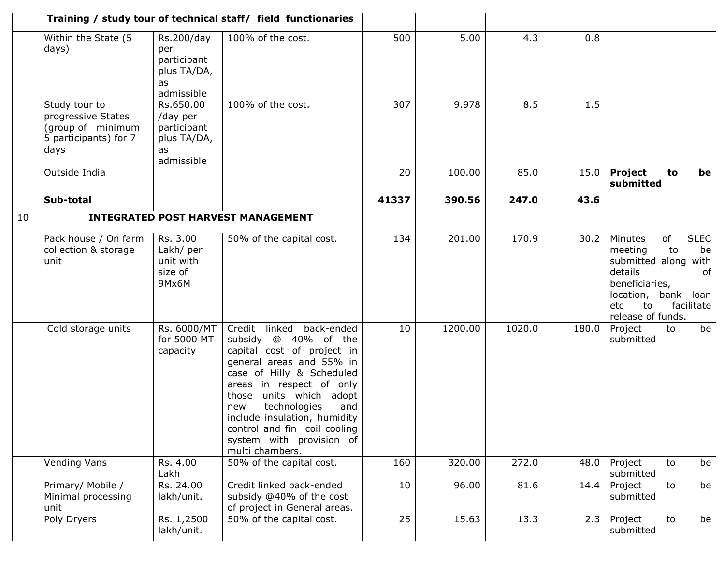|    | Training / study tour of technical staff/ field functionaries                             |                                                                         |                                                                                                                                                                                                                                                                                                                                                   |       |         |        |       |                                                                                                                                                                                       |
|----|-------------------------------------------------------------------------------------------|-------------------------------------------------------------------------|---------------------------------------------------------------------------------------------------------------------------------------------------------------------------------------------------------------------------------------------------------------------------------------------------------------------------------------------------|-------|---------|--------|-------|---------------------------------------------------------------------------------------------------------------------------------------------------------------------------------------|
|    | Within the State (5<br>days)                                                              | Rs.200/day<br>per<br>participant<br>plus TA/DA,<br>as<br>admissible     | 100% of the cost.                                                                                                                                                                                                                                                                                                                                 | 500   | 5.00    | 4.3    | 0.8   |                                                                                                                                                                                       |
|    | Study tour to<br>progressive States<br>(group of minimum<br>5 participants) for 7<br>days | Rs.650.00<br>/day per<br>participant<br>plus TA/DA,<br>as<br>admissible | 100% of the cost.                                                                                                                                                                                                                                                                                                                                 | 307   | 9.978   | 8.5    | 1.5   |                                                                                                                                                                                       |
|    | Outside India                                                                             |                                                                         |                                                                                                                                                                                                                                                                                                                                                   | 20    | 100.00  | 85.0   | 15.0  | <b>Project</b><br>to<br>be<br>submitted                                                                                                                                               |
|    | Sub-total                                                                                 |                                                                         |                                                                                                                                                                                                                                                                                                                                                   | 41337 | 390.56  | 247.0  | 43.6  |                                                                                                                                                                                       |
| 10 |                                                                                           |                                                                         | <b>INTEGRATED POST HARVEST MANAGEMENT</b>                                                                                                                                                                                                                                                                                                         |       |         |        |       |                                                                                                                                                                                       |
|    | Pack house / On farm<br>collection & storage<br>unit                                      | Rs. 3.00<br>Lakh/ per<br>unit with<br>size of<br>9Mx6M                  | 50% of the capital cost.                                                                                                                                                                                                                                                                                                                          | 134   | 201.00  | 170.9  | 30.2  | of<br><b>SLEC</b><br>Minutes<br>meeting<br>to<br>be<br>submitted along with<br>details<br>of<br>beneficiaries,<br>location, bank loan<br>facilitate<br>etc<br>to<br>release of funds. |
|    | Cold storage units                                                                        | Rs. 6000/MT<br>for 5000 MT<br>capacity                                  | Credit linked<br>back-ended<br>subsidy @ 40% of the<br>capital cost of project in<br>general areas and 55% in<br>case of Hilly & Scheduled<br>areas in respect of only<br>units which adopt<br>those<br>technologies<br>and<br>new<br>include insulation, humidity<br>control and fin coil cooling<br>system with provision of<br>multi chambers. | 10    | 1200.00 | 1020.0 | 180.0 | Project<br>to<br>be<br>submitted                                                                                                                                                      |
|    | Vending Vans                                                                              | Rs. 4.00<br>Lakh                                                        | 50% of the capital cost.                                                                                                                                                                                                                                                                                                                          | 160   | 320.00  | 272.0  | 48.0  | Project<br>to<br>be<br>submitted                                                                                                                                                      |
|    | Primary/ Mobile /<br>Minimal processing<br>unit                                           | Rs. 24.00<br>lakh/unit.                                                 | Credit linked back-ended<br>subsidy @40% of the cost<br>of project in General areas.                                                                                                                                                                                                                                                              | 10    | 96.00   | 81.6   | 14.4  | Project<br>be<br>to<br>submitted                                                                                                                                                      |
|    | Poly Dryers                                                                               | Rs. 1,2500<br>lakh/unit.                                                | 50% of the capital cost.                                                                                                                                                                                                                                                                                                                          | 25    | 15.63   | 13.3   | 2.3   | Project<br>to<br>be<br>submitted                                                                                                                                                      |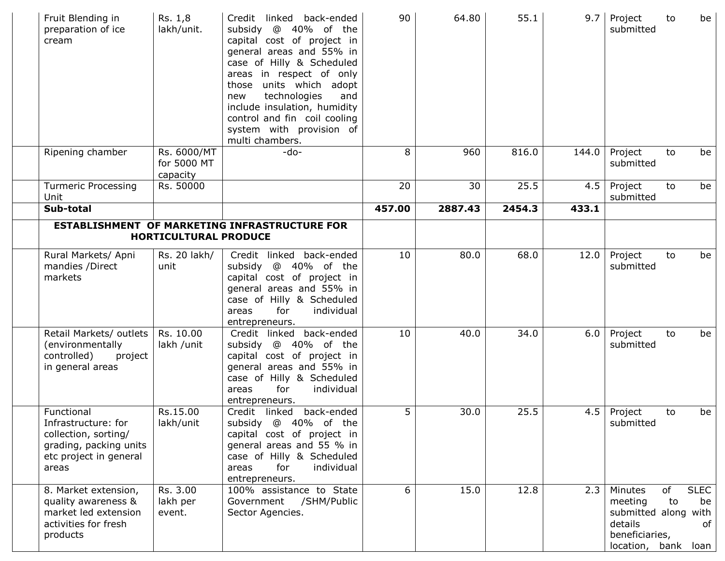| Fruit Blending in<br>preparation of ice<br>cream                                                                       | Rs. 1,8<br>lakh/unit.                  | Credit linked back-ended<br>@ 40% of the<br>subsidy<br>capital cost of project in<br>general areas and 55% in<br>case of Hilly & Scheduled<br>areas in respect of only<br>those units which adopt<br>technologies<br>and<br>new<br>include insulation, humidity<br>control and fin coil cooling<br>system with provision of<br>multi chambers. | 90     | 64.80   | 55.1   | 9.7   | Project<br>submitted                                                                      | to       | be                              |
|------------------------------------------------------------------------------------------------------------------------|----------------------------------------|------------------------------------------------------------------------------------------------------------------------------------------------------------------------------------------------------------------------------------------------------------------------------------------------------------------------------------------------|--------|---------|--------|-------|-------------------------------------------------------------------------------------------|----------|---------------------------------|
| Ripening chamber                                                                                                       | Rs. 6000/MT<br>for 5000 MT<br>capacity | $-do-$                                                                                                                                                                                                                                                                                                                                         | 8      | 960     | 816.0  | 144.0 | Project<br>submitted                                                                      | to       | be                              |
| <b>Turmeric Processing</b><br>Unit                                                                                     | Rs. 50000                              |                                                                                                                                                                                                                                                                                                                                                | 20     | 30      | 25.5   | 4.5   | Project<br>submitted                                                                      | to       | be                              |
| Sub-total                                                                                                              |                                        |                                                                                                                                                                                                                                                                                                                                                | 457.00 | 2887.43 | 2454.3 | 433.1 |                                                                                           |          |                                 |
|                                                                                                                        | <b>HORTICULTURAL PRODUCE</b>           | <b>ESTABLISHMENT OF MARKETING INFRASTRUCTURE FOR</b>                                                                                                                                                                                                                                                                                           |        |         |        |       |                                                                                           |          |                                 |
| Rural Markets/ Apni<br>mandies /Direct<br>markets                                                                      | Rs. 20 lakh/<br>unit                   | Credit linked back-ended<br>subsidy @ 40% of the<br>capital cost of project in<br>general areas and 55% in<br>case of Hilly & Scheduled<br>for<br>individual<br>areas<br>entrepreneurs.                                                                                                                                                        | 10     | 80.0    | 68.0   | 12.0  | Project<br>submitted                                                                      | to       | be                              |
| Retail Markets/ outlets<br>(environmentally<br>controlled)<br>project<br>in general areas                              | Rs. 10.00<br>lakh /unit                | Credit linked back-ended<br>subsidy @ 40% of the<br>capital cost of project in<br>general areas and 55% in<br>case of Hilly & Scheduled<br>for<br>individual<br>areas<br>entrepreneurs.                                                                                                                                                        | 10     | 40.0    | 34.0   | 6.0   | Project<br>submitted                                                                      | to       | be                              |
| Functional<br>Infrastructure: for<br>collection, sorting/<br>grading, packing units<br>etc project in general<br>areas | Rs.15.00<br>lakh/unit                  | Credit linked back-ended<br>subsidy @ 40% of the<br>capital cost of project in<br>general areas and 55 % in<br>case of Hilly & Scheduled<br>for<br>individual<br>areas<br>entrepreneurs.                                                                                                                                                       | 5      | 30.0    | 25.5   |       | $4.5$ Project<br>submitted                                                                | to       | be                              |
| 8. Market extension,<br>quality awareness &<br>market led extension<br>activities for fresh<br>products                | Rs. 3.00<br>lakh per<br>event.         | 100% assistance to State<br>/SHM/Public<br>Government<br>Sector Agencies.                                                                                                                                                                                                                                                                      | 6      | 15.0    | 12.8   | 2.3   | Minutes<br>meeting<br>submitted along with<br>details<br>beneficiaries,<br>location, bank | of<br>to | <b>SLEC</b><br>be<br>of<br>loan |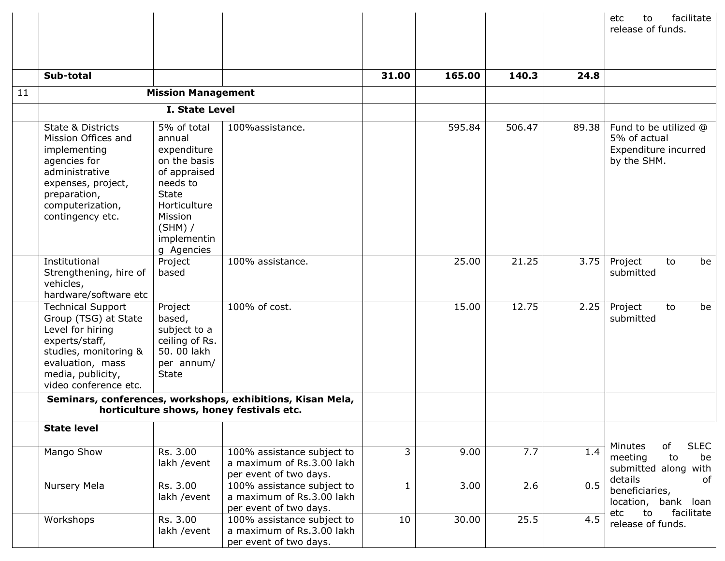|    |                                                                                                                                                                                   |                                                                                                                                                                       |                                                                                                        |              |        |        |       | facilitate<br>etc<br>to<br>release of funds.                                      |
|----|-----------------------------------------------------------------------------------------------------------------------------------------------------------------------------------|-----------------------------------------------------------------------------------------------------------------------------------------------------------------------|--------------------------------------------------------------------------------------------------------|--------------|--------|--------|-------|-----------------------------------------------------------------------------------|
|    |                                                                                                                                                                                   |                                                                                                                                                                       |                                                                                                        |              |        |        |       |                                                                                   |
|    | Sub-total                                                                                                                                                                         |                                                                                                                                                                       |                                                                                                        | 31.00        | 165.00 | 140.3  | 24.8  |                                                                                   |
| 11 |                                                                                                                                                                                   | <b>Mission Management</b>                                                                                                                                             |                                                                                                        |              |        |        |       |                                                                                   |
|    |                                                                                                                                                                                   | <b>I. State Level</b>                                                                                                                                                 |                                                                                                        |              |        |        |       |                                                                                   |
|    | State & Districts<br>Mission Offices and<br>implementing<br>agencies for<br>administrative<br>expenses, project,<br>preparation,<br>computerization,<br>contingency etc.          | 5% of total<br>annual<br>expenditure<br>on the basis<br>of appraised<br>needs to<br><b>State</b><br>Horticulture<br>Mission<br>$(SHM)$ /<br>implementin<br>g Agencies | 100%assistance.                                                                                        |              | 595.84 | 506.47 | 89.38 | Fund to be utilized @<br>5% of actual<br>Expenditure incurred<br>by the SHM.      |
|    | Institutional<br>Strengthening, hire of<br>vehicles,<br>hardware/software etc                                                                                                     | Project<br>based                                                                                                                                                      | 100% assistance.                                                                                       |              | 25.00  | 21.25  | 3.75  | Project<br>be<br>to<br>submitted                                                  |
|    | <b>Technical Support</b><br>Group (TSG) at State<br>Level for hiring<br>experts/staff,<br>studies, monitoring &<br>evaluation, mass<br>media, publicity,<br>video conference etc. | Project<br>based,<br>subject to a<br>ceiling of Rs.<br>50.00 lakh<br>per annum/<br><b>State</b>                                                                       | 100% of cost.                                                                                          |              | 15.00  | 12.75  | 2.25  | Project<br>be<br>to<br>submitted                                                  |
|    |                                                                                                                                                                                   |                                                                                                                                                                       | Seminars, conferences, workshops, exhibitions, Kisan Mela,<br>horticulture shows, honey festivals etc. |              |        |        |       |                                                                                   |
|    | <b>State level</b>                                                                                                                                                                |                                                                                                                                                                       |                                                                                                        |              |        |        |       |                                                                                   |
|    | Mango Show                                                                                                                                                                        | Rs. 3.00<br>lakh / event                                                                                                                                              | 100% assistance subject to<br>a maximum of Rs.3.00 lakh<br>per event of two days.                      | 3            | 9.00   | 7.7    | 1.4   | of<br><b>SLEC</b><br>Minutes<br>to<br>meeting<br>be<br>submitted along with       |
|    | Nursery Mela                                                                                                                                                                      | Rs. 3.00<br>lakh / event                                                                                                                                              | 100% assistance subject to<br>a maximum of Rs.3.00 lakh<br>per event of two days.                      | $\mathbf{1}$ | 3.00   | 2.6    | 0.5   | details<br>of<br>beneficiaries,<br>location, bank loan<br>etc<br>to<br>facilitate |
|    | Workshops                                                                                                                                                                         | Rs. 3.00<br>lakh /event                                                                                                                                               | 100% assistance subject to<br>a maximum of Rs.3.00 lakh<br>per event of two days.                      | 10           | 30.00  | 25.5   | 4.5   | release of funds.                                                                 |